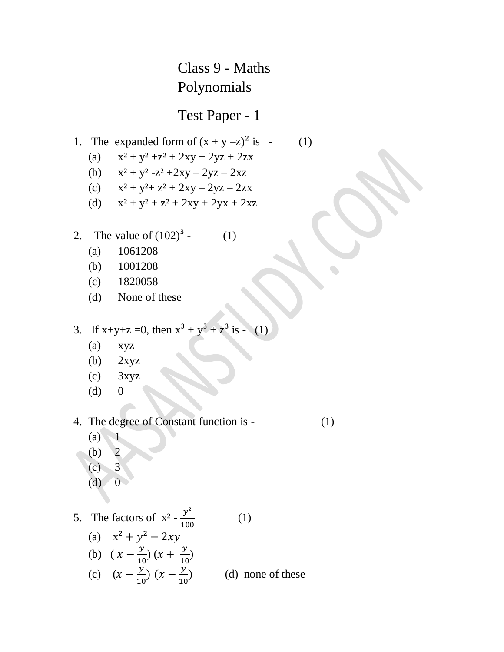## Class 9 - Maths Polynomials

## Test Paper - 1

1. The expanded form of 
$$
(x + y - z)^2
$$
 is - (1)

- (a)  $x^2 + y^2 + z^2 + 2xy + 2yz + 2zx$
- (b)  $x^2 + y^2 z^2 + 2xy 2yz 2xz$
- (c)  $x^2 + y^2 + z^2 + 2xy 2yz 2zx$
- (d)  $x^2 + y^2 + z^2 + 2xy + 2yx + 2xz$
- 2. The value of  $(102)^3$  (1)
	- (a) 1061208
	- (b) 1001208
	- (c) 1820058
	- (d) None of these
- 3. If  $x+y+z=0$ , then  $x^3 + y^3 + z^3$  is (1)
	- (a) xyz
	- (b) 2xyz
	- $\cos$  3xyz
	- $(d)$  0

4. The degree of Constant function is - (1)

 $(a) 1$ 

- (b) 2
- $(c)$  3
- $(d)$  0

5. The factors of  $x^2 - \frac{y}{48}$  $\mathbf{1}$  (1) (a)  $x^2 + y^2 - 2xy$ (b)  $(x - \frac{y}{10})$  $\frac{y}{10}$ ) (x +  $\frac{y}{10}$  $\frac{y}{10}$ (c)  $(x - \frac{y}{40})$  $\frac{y}{10}$   $(x - \frac{y}{10})$  $\mathbf{1}$ (d) none of these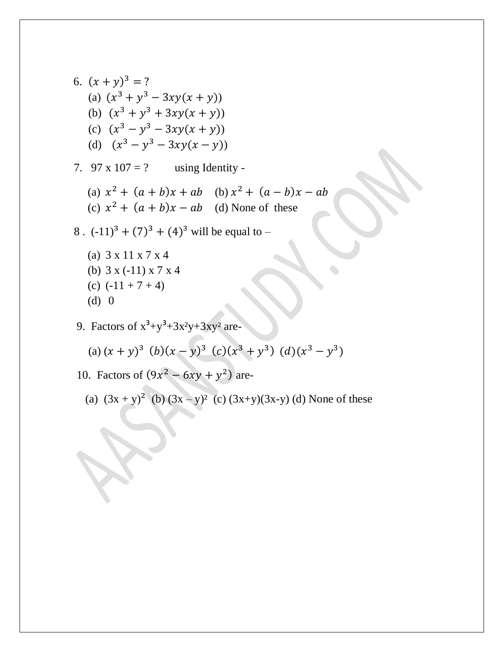6. 
$$
(x + y)^3 = ?
$$
  
\n(a)  $(x^3 + y^3 - 3xy(x + y))$   
\n(b)  $(x^3 + y^3 + 3xy(x + y))$   
\n(c)  $(x^3 - y^3 - 3xy(x + y))$   
\n(d)  $(x^3 - y^3 - 3xy(x - y))$   
\n7. 97 x 107 = ? using Identity -  
\n(a)  $x^2 + (a + b)x + ab$  (b)  $x^2 + (a - b)x - ab$   
\n(c)  $x^2 + (a + b)x - ab$  (d) None of these  
\n8. (-11)<sup>3</sup> + (7)<sup>3</sup> + (4)<sup>3</sup> will be equal to -

- (a) 3 x 11 x 7 x 4 (b) 3 x (-11) x 7 x 4 (c)  $(-11 + 7 + 4)$ (d) 0
- 9. Factors of  $x^3+y^3+3x^2y+3xy^2$  are-

(a) 
$$
(x + y)^3
$$
 (b)  $(x - y)^3$  (c)  $(x^3 + y^3)$  (d)  $(x^3 - y^3)$ 

10. Factors of  $(9x^2 - 6xy + y^2)$  are-

 $\bullet$ 

(a) 
$$
(3x + y)^2
$$
 (b)  $(3x - y)^2$  (c)  $(3x+y)(3x-y)$  (d) None of these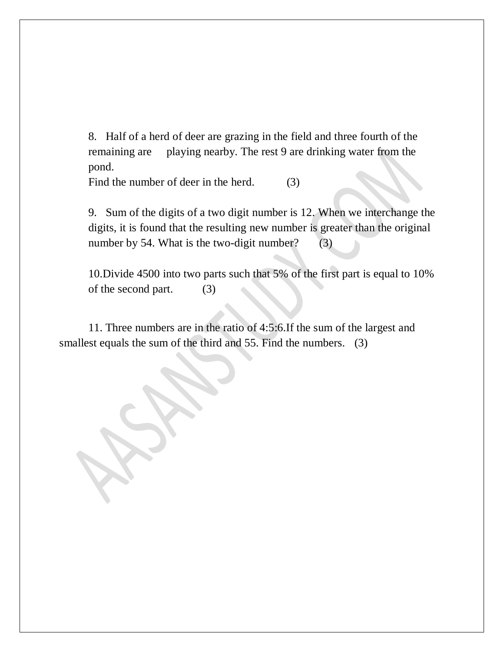8. Half of a herd of deer are grazing in the field and three fourth of the remaining are playing nearby. The rest 9 are drinking water from the pond.

Find the number of deer in the herd. (3)

9. Sum of the digits of a two digit number is 12. When we interchange the digits, it is found that the resulting new number is greater than the original number by 54. What is the two-digit number? (3)

10.Divide 4500 into two parts such that 5% of the first part is equal to 10% of the second part. (3)

 11. Three numbers are in the ratio of 4:5:6.If the sum of the largest and smallest equals the sum of the third and 55. Find the numbers. (3)